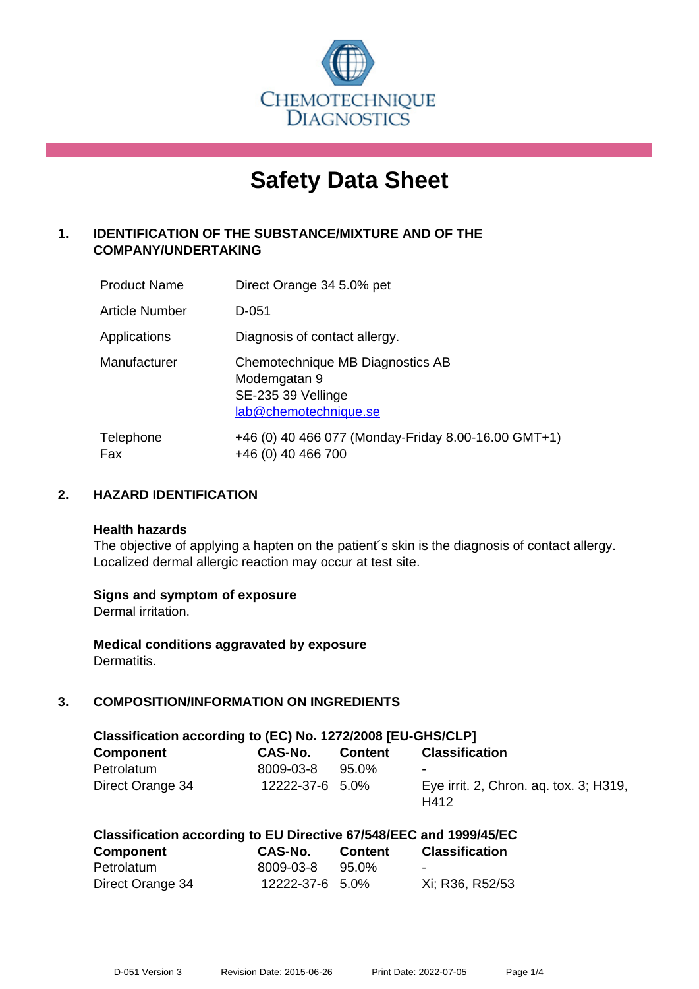

# **Safety Data Sheet**

# **1. IDENTIFICATION OF THE SUBSTANCE/MIXTURE AND OF THE COMPANY/UNDERTAKING**

| <b>Product Name</b> | Direct Orange 34 5.0% pet                                                                       |
|---------------------|-------------------------------------------------------------------------------------------------|
| Article Number      | $D-0.51$                                                                                        |
| Applications        | Diagnosis of contact allergy.                                                                   |
| Manufacturer        | Chemotechnique MB Diagnostics AB<br>Modemgatan 9<br>SE-235 39 Vellinge<br>lab@chemotechnique.se |
| Telephone<br>Fax    | +46 (0) 40 466 077 (Monday-Friday 8.00-16.00 GMT+1)<br>+46 (0) 40 466 700                       |

## **2. HAZARD IDENTIFICATION**

#### **Health hazards**

The objective of applying a hapten on the patient's skin is the diagnosis of contact allergy. Localized dermal allergic reaction may occur at test site.

#### **Signs and symptom of exposure**

Dermal irritation.

**Medical conditions aggravated by exposure** Dermatitis.

# **3. COMPOSITION/INFORMATION ON INGREDIENTS**

| Classification according to (EC) No. 1272/2008 [EU-GHS/CLP] |                 |                |                                                |  |  |
|-------------------------------------------------------------|-----------------|----------------|------------------------------------------------|--|--|
| <b>Component</b>                                            | CAS-No.         | <b>Content</b> | <b>Classification</b>                          |  |  |
| Petrolatum                                                  | 8009-03-8       | 95.0%          | $\overline{\phantom{a}}$                       |  |  |
| Direct Orange 34                                            | 12222-37-6 5.0% |                | Eye irrit. 2, Chron. ag. tox. 3; H319,<br>H412 |  |  |

|                                           | Classification according to EU Directive 67/548/EEC and 1999/45/EC |                 |                        |
|-------------------------------------------|--------------------------------------------------------------------|-----------------|------------------------|
| $P_1$ and in a set a set $\overline{P_1}$ | $\sim$ $\sim$ $\sim$ $\sim$                                        | <b>Containt</b> | Alexandra di Santana ( |

| Component        | <b>CAS-No.</b>  | <b>Content</b> | <b>Classification</b> |
|------------------|-----------------|----------------|-----------------------|
| Petrolatum       | 8009-03-8       | 95.0%          | $\sim$                |
| Direct Orange 34 | 12222-37-6 5.0% |                | Xi; R36, R52/53       |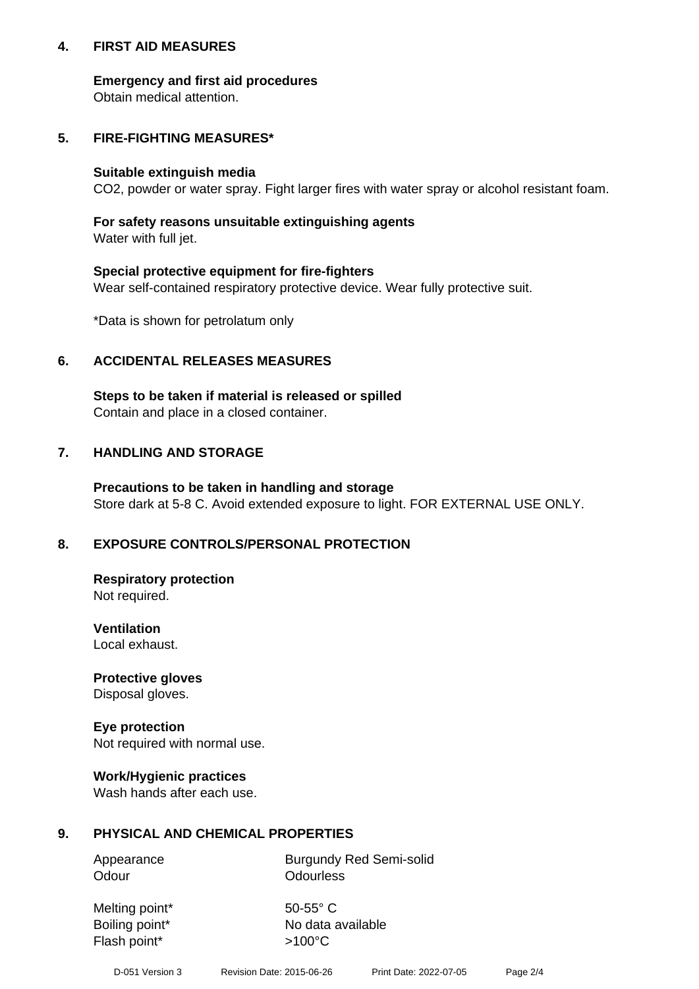## **4. FIRST AID MEASURES**

## **Emergency and first aid procedures**

Obtain medical attention.

# **5. FIRE-FIGHTING MEASURES\***

#### **Suitable extinguish media**

CO2, powder or water spray. Fight larger fires with water spray or alcohol resistant foam.

# **For safety reasons unsuitable extinguishing agents**

Water with full jet.

## **Special protective equipment for fire-fighters**

Wear self-contained respiratory protective device. Wear fully protective suit.

\*Data is shown for petrolatum only

## **6. ACCIDENTAL RELEASES MEASURES**

**Steps to be taken if material is released or spilled** Contain and place in a closed container.

# **7. HANDLING AND STORAGE**

**Precautions to be taken in handling and storage** Store dark at 5-8 C. Avoid extended exposure to light. FOR EXTERNAL USE ONLY.

# **8. EXPOSURE CONTROLS/PERSONAL PROTECTION**

**Respiratory protection** Not required.

**Ventilation** Local exhaust.

**Protective gloves** Disposal gloves.

#### **Eye protection** Not required with normal use.

## **Work/Hygienic practices**

Wash hands after each use.

## **9. PHYSICAL AND CHEMICAL PROPERTIES**

Odour **Odourless** 

Appearance Burgundy Red Semi-solid

Melting point\* 50-55° C Flash point\*  $>100^{\circ}$ C

Boiling point\* No data available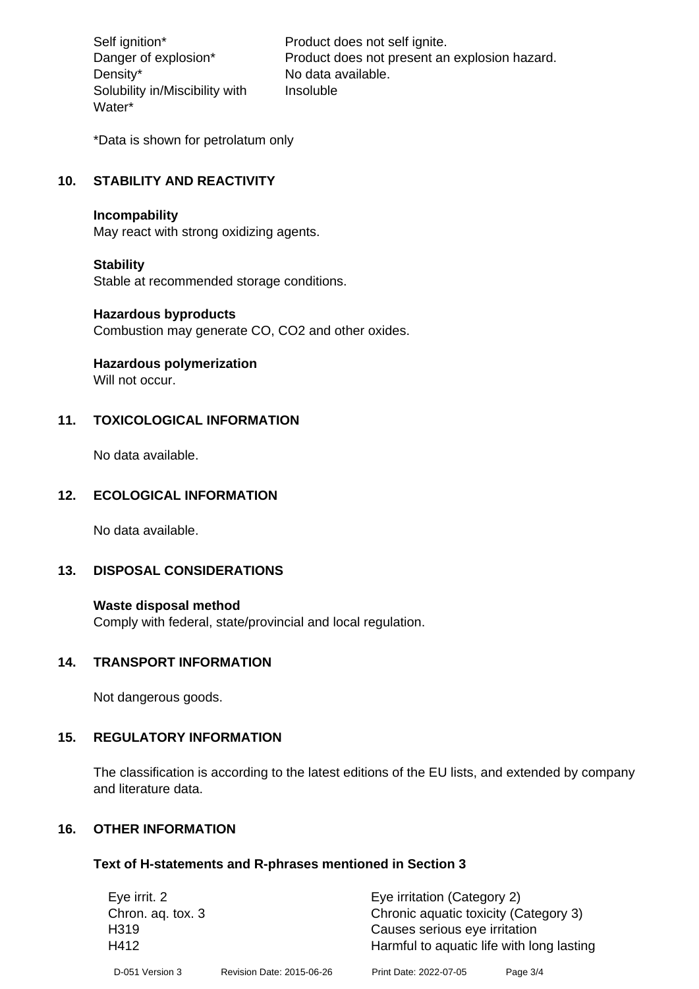Density\* No data available. Solubility in/Miscibility with Water\*

Self ignition\* Product does not self ignite. Danger of explosion\* Product does not present an explosion hazard. Insoluble

\*Data is shown for petrolatum only

# **10. STABILITY AND REACTIVITY**

#### **Incompability**

May react with strong oxidizing agents.

#### **Stability**

Stable at recommended storage conditions.

#### **Hazardous byproducts**

Combustion may generate CO, CO2 and other oxides.

**Hazardous polymerization**

Will not occur.

## **11. TOXICOLOGICAL INFORMATION**

No data available.

## **12. ECOLOGICAL INFORMATION**

No data available.

## **13. DISPOSAL CONSIDERATIONS**

#### **Waste disposal method**

Comply with federal, state/provincial and local regulation.

#### **14. TRANSPORT INFORMATION**

Not dangerous goods.

# **15. REGULATORY INFORMATION**

The classification is according to the latest editions of the EU lists, and extended by company and literature data.

## **16. OTHER INFORMATION**

#### **Text of H-statements and R-phrases mentioned in Section 3**

| Eye irrit. 2     |  | Eye irritation (Category 2)                                                                  |  |  |
|------------------|--|----------------------------------------------------------------------------------------------|--|--|
|                  |  |                                                                                              |  |  |
| H <sub>319</sub> |  | Causes serious eye irritation                                                                |  |  |
| H412             |  | Harmful to aquatic life with long lasting                                                    |  |  |
|                  |  | Page 3/4                                                                                     |  |  |
|                  |  | Chronic aquatic toxicity (Category 3)<br>Revision Date: 2015-06-26<br>Print Date: 2022-07-05 |  |  |